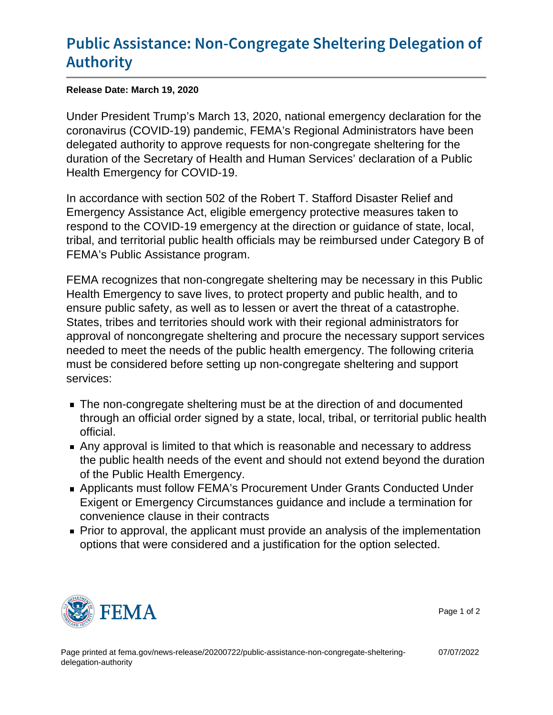## [Public Assistance: Non-Congregate](https://www.fema.gov/news-release/20200722/public-assistance-non-congregate-sheltering-delegation-authority) Shelte [Autho](https://www.fema.gov/news-release/20200722/public-assistance-non-congregate-sheltering-delegation-authority)rity

Release Date: March 19, 2020

Under President Trump's March 13, 2020, national emergency declaration for the coronavirus (COVID-19) pandemic, FEMA's Regional Administrators have been delegated authority to approve requests for non-congregate sheltering for the duration of the Secretary of Health and Human Services' declaration of a Public Health Emergency for COVID-19.

In accordance with section 502 of the Robert T. Stafford Disaster Relief and Emergency Assistance Act, eligible emergency protective measures taken to respond to the COVID-19 emergency at the direction or guidance of state, local, tribal, and territorial public health officials may be reimbursed under Category B of FEMA's Public Assistance program.

FEMA recognizes that non-congregate sheltering may be necessary in this Public Health Emergency to save lives, to protect property and public health, and to ensure public safety, as well as to lessen or avert the threat of a catastrophe. States, tribes and territories should work with their regional administrators for approval of noncongregate sheltering and procure the necessary support services needed to meet the needs of the public health emergency. The following criteria must be considered before setting up non-congregate sheltering and support services:

- The non-congregate sheltering must be at the direction of and documented through an official order signed by a state, local, tribal, or territorial public health official.
- Any approval is limited to that which is reasonable and necessary to address the public health needs of the event and should not extend beyond the duration of the Public Health Emergency.
- Applicants must follow FEMA's Procurement Under Grants Conducted Under Exigent or Emergency Circumstances guidance and include a termination for convenience clause in their contracts
- Prior to approval, the applicant must provide an analysis of the implementation options that were considered and a justification for the option selected.



Page 1 of 2